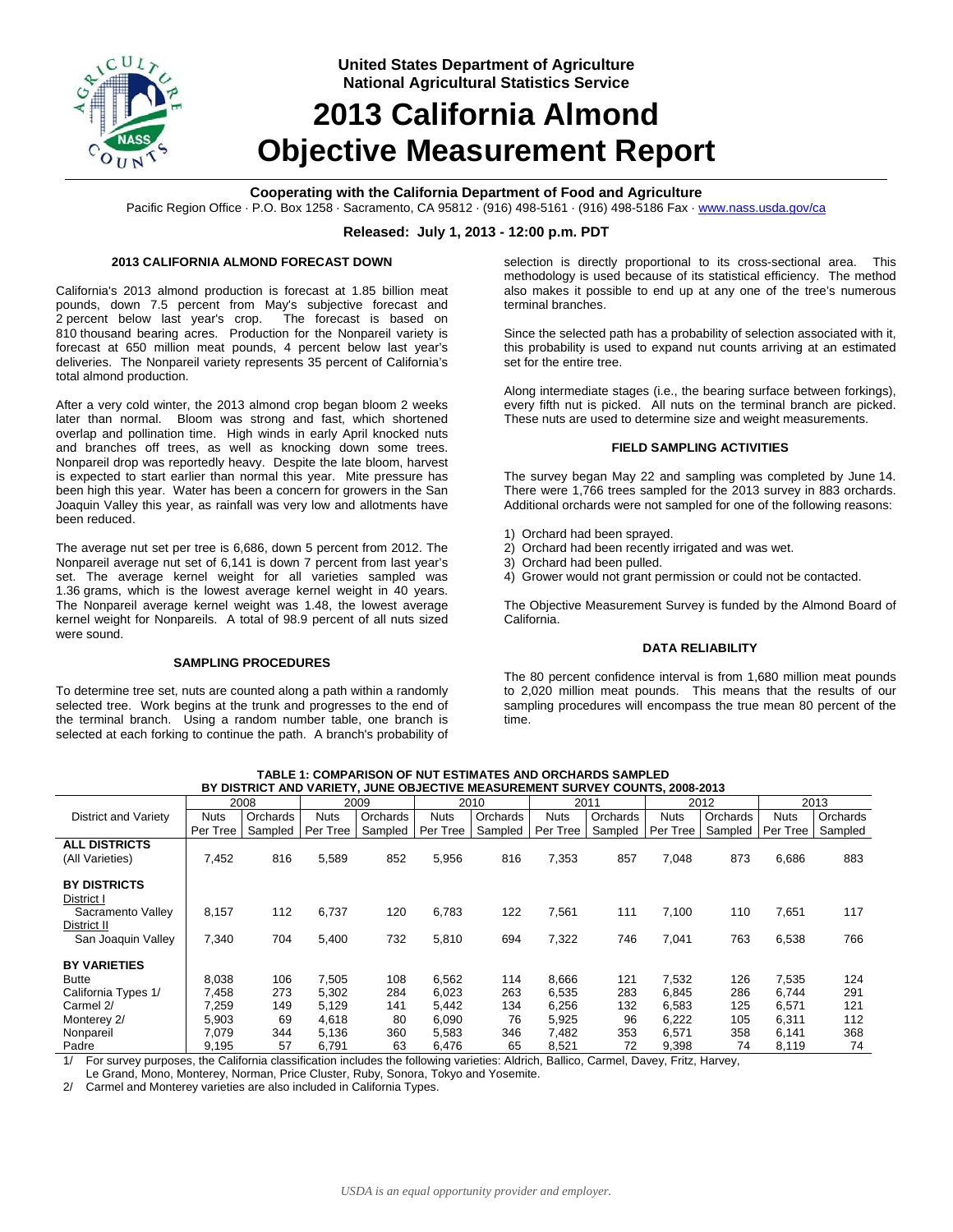

**United States Department of Agriculture National Agricultural Statistics Service**

# **2013 California Almond Objective Measurement Report**

## **Cooperating with the California Department of Food and Agriculture**

Pacific Region Office · P.O. Box 1258 · Sacramento, CA 95812 · (916) 498-5161 · (916) 498-5186 Fax · www.nass.usda.gov/ca

### **Released: July 1, 2013 - 12:00 p.m. PDT**

#### **2013 CALIFORNIA ALMOND FORECAST DOWN**

California's 2013 almond production is forecast at 1.85 billion meat pounds, down 7.5 percent from May's subjective forecast and 2 percent below last year's crop. The forecast is based on 810 thousand bearing acres. Production for the Nonpareil variety is forecast at 650 million meat pounds, 4 percent below last year's deliveries. The Nonpareil variety represents 35 percent of California's total almond production.

After a very cold winter, the 2013 almond crop began bloom 2 weeks later than normal. Bloom was strong and fast, which shortened overlap and pollination time. High winds in early April knocked nuts and branches off trees, as well as knocking down some trees. Nonpareil drop was reportedly heavy. Despite the late bloom, harvest is expected to start earlier than normal this year. Mite pressure has been high this year. Water has been a concern for growers in the San Joaquin Valley this year, as rainfall was very low and allotments have been reduced.

The average nut set per tree is 6,686, down 5 percent from 2012. The Nonpareil average nut set of 6,141 is down 7 percent from last year's set. The average kernel weight for all varieties sampled was 1.36 grams, which is the lowest average kernel weight in 40 years. The Nonpareil average kernel weight was 1.48, the lowest average kernel weight for Nonpareils. A total of 98.9 percent of all nuts sized were sound.

#### **SAMPLING PROCEDURES**

To determine tree set, nuts are counted along a path within a randomly selected tree. Work begins at the trunk and progresses to the end of the terminal branch. Using a random number table, one branch is selected at each forking to continue the path. A branch's probability of

selection is directly proportional to its cross-sectional area. This methodology is used because of its statistical efficiency. The method also makes it possible to end up at any one of the tree's numerous terminal branches.

Since the selected path has a probability of selection associated with it, this probability is used to expand nut counts arriving at an estimated set for the entire tree.

Along intermediate stages (i.e., the bearing surface between forkings), every fifth nut is picked. All nuts on the terminal branch are picked. These nuts are used to determine size and weight measurements.

#### **FIELD SAMPLING ACTIVITIES**

The survey began May 22 and sampling was completed by June 14. There were 1,766 trees sampled for the 2013 survey in 883 orchards. Additional orchards were not sampled for one of the following reasons:

- 1) Orchard had been sprayed.
- 2) Orchard had been recently irrigated and was wet.
- 3) Orchard had been pulled.
- 4) Grower would not grant permission or could not be contacted.

The Objective Measurement Survey is funded by the Almond Board of California.

#### **DATA RELIABILITY**

The 80 percent confidence interval is from 1,680 million meat pounds to 2,020 million meat pounds. This means that the results of our sampling procedures will encompass the true mean 80 percent of the time.

| BY DISTRICT AND VARIETY, JUNE OBJECTIVE MEASUREMENT SURVEY COUNTS, 2008-2013 |             |          |             |          |             |          |             |          |             |          |             |          |
|------------------------------------------------------------------------------|-------------|----------|-------------|----------|-------------|----------|-------------|----------|-------------|----------|-------------|----------|
|                                                                              |             | 2008     |             | 2009     |             | 2010     |             | 2011     |             | 2012     |             | 2013     |
| <b>District and Variety</b>                                                  | <b>Nuts</b> | Orchards | <b>Nuts</b> | Orchards | <b>Nuts</b> | Orchards | <b>Nuts</b> | Orchards | <b>Nuts</b> | Orchards | <b>Nuts</b> | Orchards |
|                                                                              | Per Tree    | Sampled  | Per Tree    | Sampled  | Per Tree    | Sampled  | Per Tree    | Sampled  | Per Tree    | Sampled  | Per Tree    | Sampled  |
| <b>ALL DISTRICTS</b>                                                         |             |          |             |          |             |          |             |          |             |          |             |          |
| (All Varieties)                                                              | 7,452       | 816      | 5,589       | 852      | 5,956       | 816      | 7,353       | 857      | 7,048       | 873      | 6,686       | 883      |
|                                                                              |             |          |             |          |             |          |             |          |             |          |             |          |
| <b>BY DISTRICTS</b>                                                          |             |          |             |          |             |          |             |          |             |          |             |          |
| District I                                                                   |             |          |             |          |             |          |             |          |             |          |             |          |
| Sacramento Valley                                                            | 8,157       | 112      | 6,737       | 120      | 6,783       | 122      | 7,561       | 111      | 7,100       | 110      | 7,651       | 117      |
| District II                                                                  |             |          |             |          |             |          |             |          |             |          |             |          |
| San Joaquin Valley                                                           | 7,340       | 704      | 5,400       | 732      | 5,810       | 694      | 7,322       | 746      | 7,041       | 763      | 6,538       | 766      |
|                                                                              |             |          |             |          |             |          |             |          |             |          |             |          |
| <b>BY VARIETIES</b>                                                          |             |          |             |          |             |          |             |          |             |          |             |          |
| <b>Butte</b>                                                                 | 8,038       | 106      | 7,505       | 108      | 6.562       | 114      | 8.666       | 121      | 7,532       | 126      | 7,535       | 124      |
| California Types 1/                                                          | 7,458       | 273      | 5,302       | 284      | 6,023       | 263      | 6,535       | 283      | 6,845       | 286      | 6.744       | 291      |
| Carmel 2/                                                                    | 7,259       | 149      | 5,129       | 141      | 5.442       | 134      | 6,256       | 132      | 6,583       | 125      | 6,571       | 121      |
| Monterey 2/                                                                  | 5,903       | 69       | 4,618       | 80       | 6,090       | 76       | 5,925       | 96       | 6,222       | 105      | 6,311       | 112      |
| Nonpareil                                                                    | 7,079       | 344      | 5,136       | 360      | 5,583       | 346      | 7,482       | 353      | 6,571       | 358      | 6,141       | 368      |
| Padre                                                                        | 9,195       | 57       | 6,791       | 63       | 6,476       | 65       | 8,521       | 72       | 9,398       | 74       | 8,119       | 74       |

| TABLE 1: COMPARISON OF NUT ESTIMATES AND ORCHARDS SAMPLED |  |
|-----------------------------------------------------------|--|
|                                                           |  |

1/ For survey purposes, the California classification includes the following varieties: Aldrich, Ballico, Carmel, Davey, Fritz, Harvey,

Le Grand, Mono, Monterey, Norman, Price Cluster, Ruby, Sonora, Tokyo and Yosemite.

2/ Carmel and Monterey varieties are also included in California Types.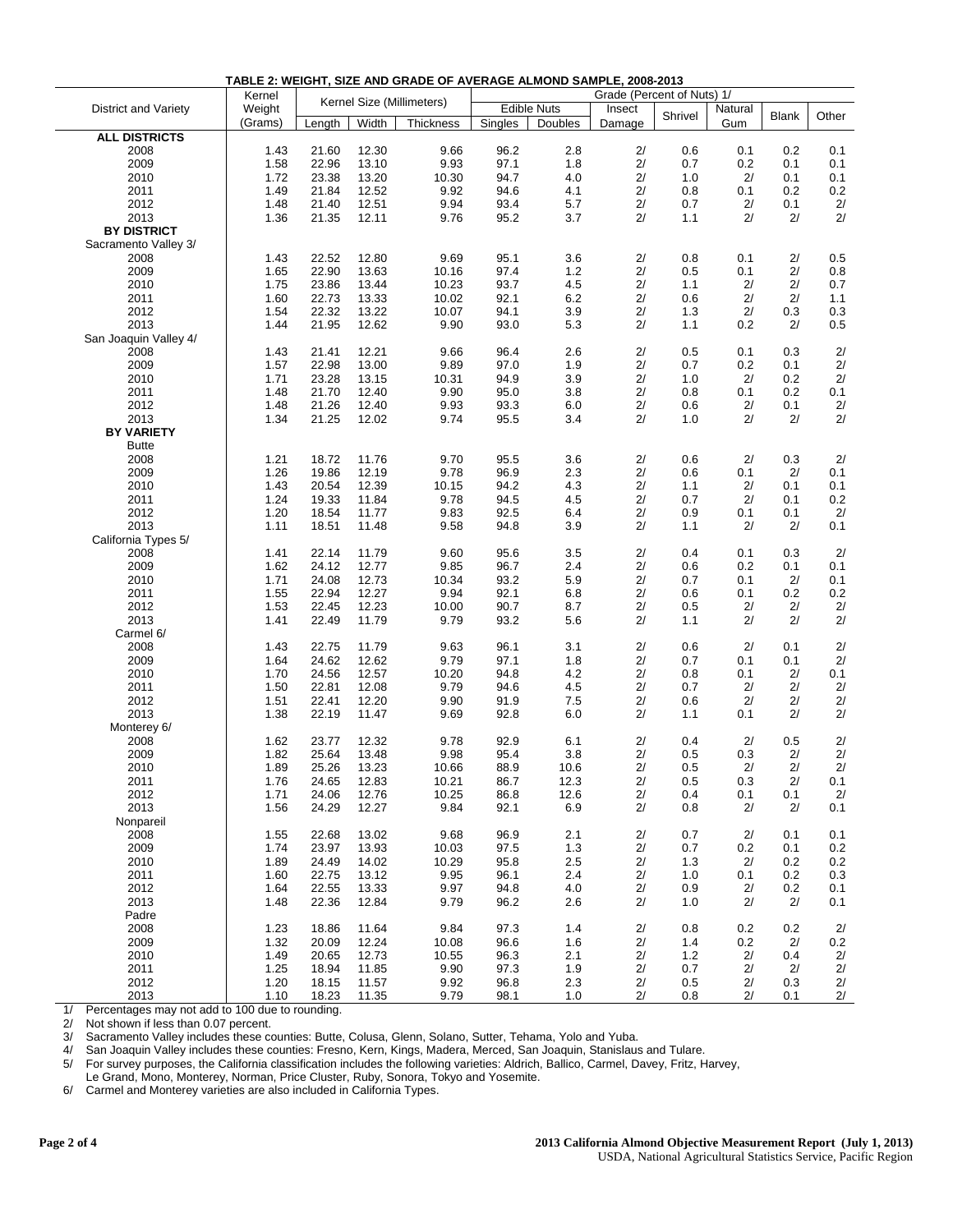| TABLE 2: WEIGHT, SIZE AND GRADE OF AVERAGE ALMOND SAMPLE, 2008-2013 |                                     |        |       |                    |              |         |                            |            |                       |              |       |
|---------------------------------------------------------------------|-------------------------------------|--------|-------|--------------------|--------------|---------|----------------------------|------------|-----------------------|--------------|-------|
|                                                                     | Kernel<br>Kernel Size (Millimeters) |        |       | <b>Edible Nuts</b> |              |         | Grade (Percent of Nuts) 1/ |            |                       |              |       |
| District and Variety                                                | Weight<br>(Grams)                   | Length | Width | Thickness          | Singles      | Doubles | Insect<br>Damage           | Shrivel    | <b>Natural</b><br>Gum | <b>Blank</b> | Other |
| <b>ALL DISTRICTS</b>                                                |                                     |        |       |                    |              |         |                            |            |                       |              |       |
| 2008                                                                | 1.43                                | 21.60  | 12.30 | 9.66               | 96.2         | 2.8     | 2/                         | 0.6        | 0.1                   | 0.2          | 0.1   |
| 2009                                                                | 1.58                                | 22.96  | 13.10 | 9.93               | 97.1         | 1.8     | 2/                         | 0.7        | 0.2                   | 0.1          | 0.1   |
| 2010                                                                | 1.72                                | 23.38  | 13.20 | 10.30              | 94.7         | 4.0     | 2/                         | 1.0        | 2/                    | 0.1          | 0.1   |
| 2011                                                                | 1.49                                | 21.84  | 12.52 | 9.92               | 94.6         | 4.1     | 2/                         | 0.8        | 0.1                   | 0.2          | 0.2   |
| 2012                                                                | 1.48                                | 21.40  | 12.51 | 9.94               | 93.4         | 5.7     | 2/                         | 0.7        | 2/                    | 0.1          | 2/    |
| 2013                                                                | 1.36                                | 21.35  | 12.11 | 9.76               | 95.2         | 3.7     | 2/                         | 1.1        | 2/                    | 2/           | 2/    |
| <b>BY DISTRICT</b>                                                  |                                     |        |       |                    |              |         |                            |            |                       |              |       |
| Sacramento Valley 3/                                                |                                     |        |       |                    |              |         |                            |            |                       |              |       |
| 2008                                                                | 1.43                                | 22.52  | 12.80 | 9.69               | 95.1         | 3.6     | 2/                         | 0.8        | 0.1                   | 2/           | 0.5   |
| 2009                                                                | 1.65                                | 22.90  | 13.63 | 10.16              | 97.4         | 1.2     | 2/                         | 0.5        | 0.1                   | 2/           | 0.8   |
| 2010                                                                | 1.75                                | 23.86  | 13.44 | 10.23              | 93.7         | 4.5     | 2/                         | 1.1        | 2/                    | 2/           | 0.7   |
| 2011                                                                | 1.60                                | 22.73  | 13.33 | 10.02              | 92.1         | 6.2     | 2/                         | 0.6        | 2/                    | 2/           | 1.1   |
| 2012                                                                | 1.54                                | 22.32  | 13.22 | 10.07              | 94.1         | 3.9     | 2/                         | 1.3        | 2/                    | 0.3          | 0.3   |
| 2013                                                                | 1.44                                |        |       |                    |              |         | 2/                         | 1.1        |                       | 2/           |       |
|                                                                     |                                     | 21.95  | 12.62 | 9.90               | 93.0         | 5.3     |                            |            | 0.2                   |              | 0.5   |
| San Joaquin Valley 4/                                               |                                     |        |       |                    |              |         |                            |            |                       |              |       |
| 2008                                                                | 1.43                                | 21.41  | 12.21 | 9.66               | 96.4         | 2.6     | 2/                         | 0.5        | 0.1                   | 0.3          | 2/    |
| 2009                                                                | 1.57                                | 22.98  | 13.00 | 9.89               | 97.0         | 1.9     | 2/                         | 0.7        | 0.2                   | 0.1          | 2/    |
| 2010                                                                | 1.71                                | 23.28  | 13.15 | 10.31              | 94.9         | 3.9     | 2/                         | 1.0        | 2/                    | 0.2          | 2/    |
| 2011                                                                | 1.48                                | 21.70  | 12.40 | 9.90               | 95.0         | 3.8     | 2/                         | 0.8        | 0.1                   | 0.2          | 0.1   |
| 2012                                                                | 1.48                                | 21.26  | 12.40 | 9.93               | 93.3         | 6.0     | 2/                         | 0.6        | 2/                    | 0.1          | 2/    |
| 2013                                                                | 1.34                                | 21.25  | 12.02 | 9.74               | 95.5         | 3.4     | 2/                         | 1.0        | 2/                    | 2/           | 2/    |
| <b>BY VARIETY</b>                                                   |                                     |        |       |                    |              |         |                            |            |                       |              |       |
| <b>Butte</b>                                                        |                                     |        |       |                    |              |         |                            |            |                       |              |       |
| 2008                                                                | 1.21                                | 18.72  | 11.76 | 9.70               | 95.5         | 3.6     | 2/                         | 0.6        | 2/                    | 0.3          | 2/    |
| 2009                                                                | 1.26                                | 19.86  | 12.19 | 9.78               | 96.9         | 2.3     | 2/                         | 0.6        | 0.1                   | 2/           | 0.1   |
| 2010                                                                | 1.43                                | 20.54  | 12.39 | 10.15              | 94.2         | 4.3     | 2/                         | 1.1        | 2/                    | 0.1          | 0.1   |
| 2011                                                                | 1.24                                | 19.33  | 11.84 | 9.78               | 94.5         | 4.5     | 2/                         | 0.7        | 2/                    | 0.1          | 0.2   |
| 2012                                                                | 1.20                                | 18.54  | 11.77 | 9.83               | 92.5         | 6.4     | 2/                         | 0.9        | 0.1                   | 0.1          | 2/    |
| 2013                                                                | 1.11                                | 18.51  | 11.48 | 9.58               | 94.8         | 3.9     | 2/                         | 1.1        | 2/                    | 2/           | 0.1   |
| California Types 5/                                                 |                                     |        |       |                    |              |         |                            |            |                       |              |       |
| 2008                                                                | 1.41                                | 22.14  | 11.79 | 9.60               | 95.6         | 3.5     | 2/                         | 0.4        | 0.1                   | 0.3          | 2/    |
| 2009                                                                | 1.62                                | 24.12  | 12.77 | 9.85               | 96.7         | 2.4     | 2/                         | 0.6        | 0.2                   | 0.1          | 0.1   |
| 2010                                                                | 1.71                                | 24.08  | 12.73 | 10.34              | 93.2         | 5.9     | 2/                         | 0.7        | 0.1                   | 2/           | 0.1   |
| 2011                                                                | 1.55                                | 22.94  | 12.27 | 9.94               | 92.1         | 6.8     | 2/                         | 0.6        | 0.1                   | 0.2          | 0.2   |
| 2012                                                                | 1.53                                | 22.45  | 12.23 | 10.00              | 90.7         | 8.7     | 2/                         | 0.5        | 2/                    | 2/           | 2/    |
| 2013                                                                | 1.41                                | 22.49  | 11.79 | 9.79               | 93.2         | 5.6     | 2/                         | 1.1        | 2/                    | 2/           | 2/    |
| Carmel 6/                                                           |                                     |        |       |                    |              |         |                            |            |                       |              |       |
| 2008                                                                | 1.43                                | 22.75  | 11.79 | 9.63               | 96.1         | 3.1     | 2/                         | 0.6        | 2/                    | 0.1          | 2/    |
| 2009                                                                | 1.64                                | 24.62  | 12.62 | 9.79               | 97.1         | 1.8     | 2/                         | 0.7        | 0.1                   | 0.1          | 2/    |
| 2010                                                                | 1.70                                | 24.56  | 12.57 | 10.20              | 94.8         | 4.2     | 2/                         | 0.8        | 0.1                   | 2/           | 0.1   |
| 2011                                                                | 1.50                                | 22.81  | 12.08 | 9.79               | 94.6         | 4.5     | 2/                         | 0.7        | 2/                    | 2/           | 2/    |
| 2012                                                                | 1.51                                | 22.41  | 12.20 | 9.90               | 91.9         | 7.5     | 2/                         | 0.6        | 2/                    | 2/           | 2/    |
| 2013                                                                | 1.38                                | 22.19  | 11.47 | 9.69               | 92.8         | 6.0     | 2/                         | 1.1        | 0.1                   | 2/           | 2/    |
| Monterey 6/                                                         |                                     |        |       |                    |              |         |                            |            |                       |              |       |
| 2008                                                                | 1.62                                | 23.77  | 12.32 | 9.78               | 92.9         | 6.1     | 2/                         | 0.4        | 2/                    | 0.5          | 2/    |
| 2009                                                                | 1.82                                | 25.64  | 13.48 | 9.98               | 95.4         | 3.8     | 2/                         | 0.5        | 0.3                   | 2/           | 2/    |
|                                                                     | 1.89                                |        |       |                    |              |         | 2/                         |            |                       | 2/           | 2/    |
| 2010                                                                |                                     | 25.26  | 13.23 | 10.66              | 88.9<br>86.7 | 10.6    | 2/                         | 0.5<br>0.5 | 2/<br>0.3             |              |       |
| 2011                                                                | 1.76                                | 24.65  | 12.83 | 10.21              |              | 12.3    |                            |            |                       | 2/           | 0.1   |
| 2012                                                                | 1.71                                | 24.06  | 12.76 | 10.25              | 86.8         | 12.6    | 2/                         | 0.4        | 0.1                   | 0.1          | 2/    |
| 2013                                                                | 1.56                                | 24.29  | 12.27 | 9.84               | 92.1         | 6.9     | 2/                         | 0.8        | 2/                    | 2/           | 0.1   |
| Nonpareil                                                           |                                     |        |       |                    |              |         |                            |            |                       |              |       |
| 2008                                                                | 1.55                                | 22.68  | 13.02 | 9.68               | 96.9         | 2.1     | 2/                         | 0.7        | 2/                    | 0.1          | 0.1   |
| 2009                                                                | 1.74                                | 23.97  | 13.93 | 10.03              | 97.5         | 1.3     | 2/                         | 0.7        | 0.2                   | 0.1          | 0.2   |
| 2010                                                                | 1.89                                | 24.49  | 14.02 | 10.29              | 95.8         | 2.5     | 2/                         | 1.3        | 2/                    | 0.2          | 0.2   |
| 2011                                                                | 1.60                                | 22.75  | 13.12 | 9.95               | 96.1         | 2.4     | 2/                         | 1.0        | 0.1                   | 0.2          | 0.3   |
| 2012                                                                | 1.64                                | 22.55  | 13.33 | 9.97               | 94.8         | 4.0     | 2/                         | 0.9        | 2/                    | 0.2          | 0.1   |
| 2013                                                                | 1.48                                | 22.36  | 12.84 | 9.79               | 96.2         | 2.6     | 2/                         | 1.0        | 2/                    | 2/           | 0.1   |
| Padre                                                               |                                     |        |       |                    |              |         |                            |            |                       |              |       |
| 2008                                                                | 1.23                                | 18.86  | 11.64 | 9.84               | 97.3         | 1.4     | 2/                         | 0.8        | 0.2                   | 0.2          | 2/    |
| 2009                                                                | 1.32                                | 20.09  | 12.24 | 10.08              | 96.6         | 1.6     | 2/                         | $1.4$      | 0.2                   | 2/           | 0.2   |
| 2010                                                                | 1.49                                | 20.65  | 12.73 | 10.55              | 96.3         | 2.1     | 2/                         | 1.2        | 2/                    | 0.4          | 2/    |
| 2011                                                                | 1.25                                | 18.94  | 11.85 | 9.90               | 97.3         | 1.9     | 2/                         | 0.7        | 2/                    | 2/           | 2/    |
| 2012                                                                | 1.20                                | 18.15  | 11.57 | 9.92               | 96.8         | 2.3     | 2/                         | 0.5        | 2/                    | 0.3          | 2/    |
| 2013                                                                | 1.10                                | 18.23  | 11.35 | 9.79               | 98.1         | $1.0$   | 2/                         | 0.8        | 2/                    | 0.1          | 2/    |

1/ Percentages may not add to 100 due to rounding.<br>2/ Not shown if less than 0.07 percent.

2/ Not shown if less than 0.07 percent.<br>3/ Sacramento Valley includes these co

3/ Sacramento Valley includes these counties: Butte, Colusa, Glenn, Solano, Sutter, Tehama, Yolo and Yuba.

4/ San Joaquin Valley includes these counties: Fresno, Kern, Kings, Madera, Merced, San Joaquin, Stanislaus and Tulare.

5/ For survey purposes, the California classification includes the following varieties: Aldrich, Ballico, Carmel, Davey, Fritz, Harvey,

Le Grand, Mono, Monterey, Norman, Price Cluster, Ruby, Sonora, Tokyo and Yosemite.

6/ Carmel and Monterey varieties are also included in California Types.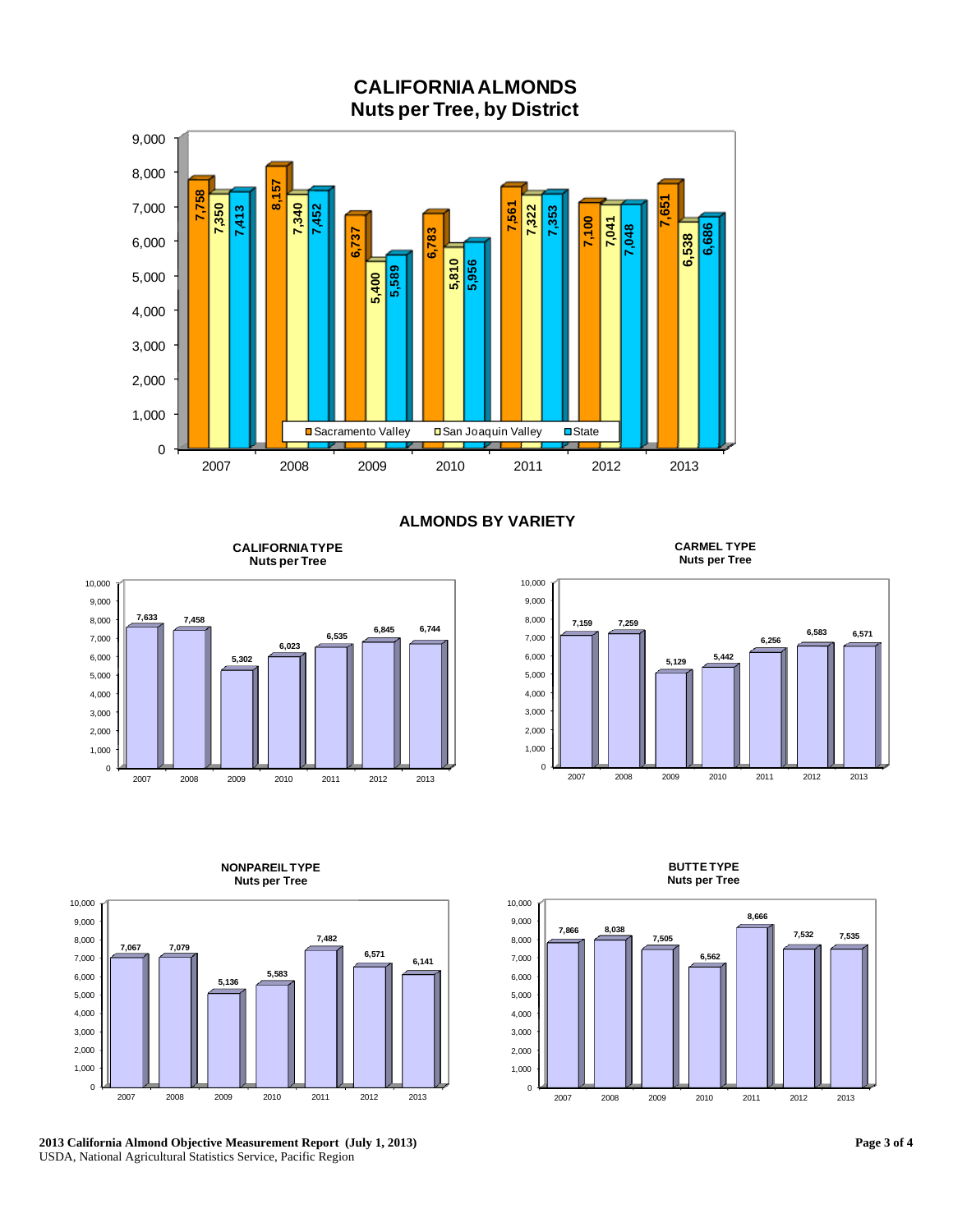

**ALMONDS BY VARIETY** 

**CALIFORNIA TYPE Nuts per Tree**



**CARMEL TYPE Nuts per Tree**





**NONPAREIL TYPE** 

**2013 California Almond Objective Measurement Report (July 1, 2013)**  USDA, National Agricultural Statistics Service, Pacific Region



**BUTTE TYPE Nuts per Tree**